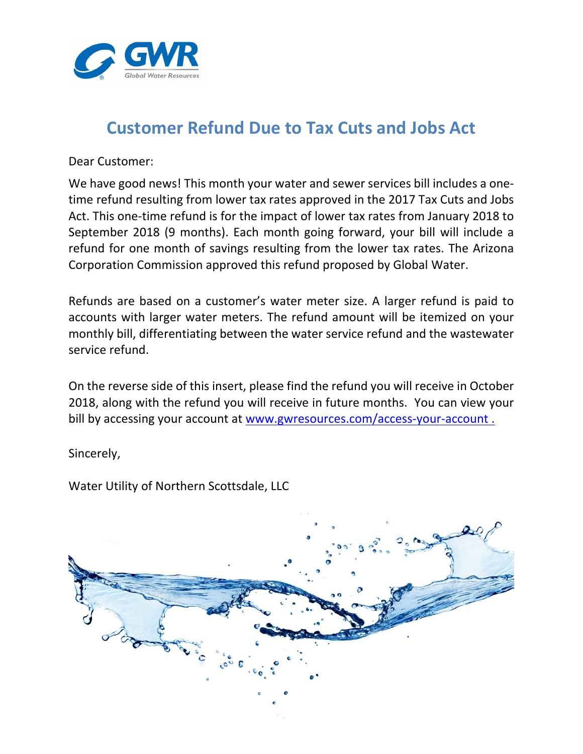

## **Customer Refund Due to Tax Cuts and Jobs Act**

Dear Customer:

We have good news! This month your water and sewer services bill includes a onetime refund resulting from lower tax rates approved in the 2017 Tax Cuts and Jobs Act. This one-time refund is for the impact of lower tax rates from January 2018 to September 2018 (9 months). Each month going forward, your bill will include a refund for one month of savings resulting from the lower tax rates. The Arizona Corporation Commission approved this refund proposed by Global Water.

Refunds are based on a customer's water meter size. A larger refund is paid to accounts with larger water meters. The refund amount will be itemized on your monthly bill, differentiating between the water service refund and the wastewater service refund.

On the reverse side of this insert, please find the refund you will receive in October 2018, along with the refund you will receive in future months. You can view your bill by accessing your account at www.gwresources.com/access-your-account.

Sincerely,

Water Utility of Northern Scottsdale, LLC